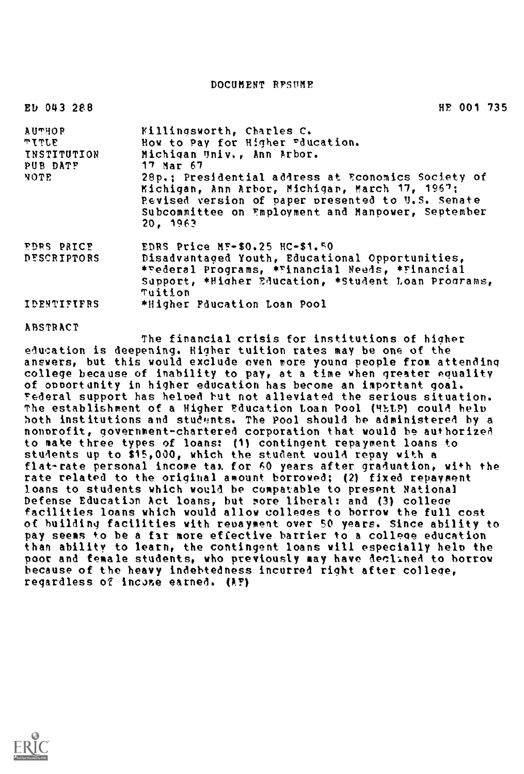DOCUMENT RESUME

| ED 043 288<br>HE 001 735 |                                                                                                                                                                                                                            |
|--------------------------|----------------------------------------------------------------------------------------------------------------------------------------------------------------------------------------------------------------------------|
| <b>AUTHOR</b>            | Killingsworth, Charles C.                                                                                                                                                                                                  |
| ጥ ፒ ጥ ፒ. ፑ.              | How to Pay for Higher Fducation.                                                                                                                                                                                           |
| INSTITUTION              | Michigan Univ., Ann Arbor.                                                                                                                                                                                                 |
| PUB DATE                 | 17 Mar 67                                                                                                                                                                                                                  |
| NOTE                     | 28p.; Presidential address at Economics Society of<br>Michigan, Ann Arbor, Michigan, March 17, 1967;<br>Revised version of paper presented to U.S. Senate<br>Subcommittee on Employment and Manpower, September<br>20.1963 |
| FDRS PRICE               | EDRS Price MF-\$0.25 HC-\$1.50                                                                                                                                                                                             |
| <b>DESCRIPTORS</b>       | Disadvantaged Youth, Educational Opportunities,<br>*Pederal Programs, *Tinancial Needs, *Financial<br>Support, *Higher Education, *Student Loan Programs,<br>Tuition                                                       |
| IDENTIFIFRS              | *Higher Poucation Loan Pool                                                                                                                                                                                                |
|                          |                                                                                                                                                                                                                            |

## ABSTRACT

The financial crisis for institutions of higher education is deepening. Higher tuition rates may be one of the answers, but this would exclude even more young people from attending college because of inability to pay, at a time when greater equality of opportunity in higher education has become an important goal. Federal support has helped but not alleviated the serious situation. The establishment of a Higher Education Loan Pool (HELP) could hely both institutions and students. The Pool should he administered by a nonprofit, government-chartered corporation that would be authorized to make three types of loans: (1) contingent repayment loans to students up to \$15,000, which the student uould repay with a flat-rate personal income tax for 60 years after graduation, with the rate related to the original amount borrowed; (2) fixed repayment loans to students which would be comparable to present National Defense Education Act loans, but more liberal: and (3) college facilities loans which would allow colleges to borrow the full cost of building facilities with reuayment over 50 years. Since ability to pay seems to be a far more effective barrier to a college education than ability to learn, the contingent loans will especially helm the poor and female students, who previously may have declined to borrow because of the heavy indebtedness incurred right after college, regardless of income earned. (AP)

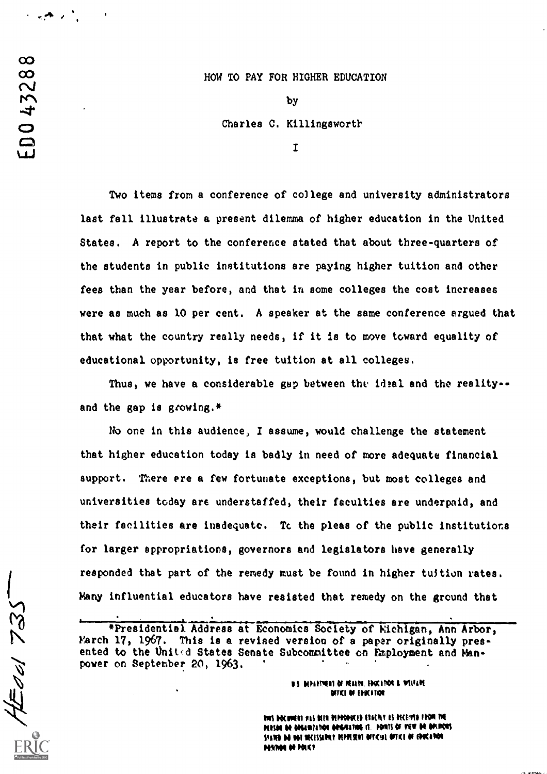$\mathbf{p}$  by Charles C. Killingsworth

 $\mathbf{I}$ 

Two items from a conference of college and university administrators last fall illustrate a present dilemma of higher education in the United States. A report to the conference stated that about three-quarters of the students in public institutions are paying higher tuition and other fees than the year before, and that in some colleges the cost increases were as much as 10 per cent. A speaker at the same conference argued that that what the country really needs, if it is to move toward equality of educational opportunity, is free tuition at all colleges.

Thus, we have a considerable gap between the ideal and the reality-and the gap is growing. $*$ 

No one in this audience, I assume, would challenge the statement that higher education today is badly in need of more adequate financial support. There ere a few fortunate exceptions, but most colleges and universities today are understaffed, their faculties are underpaid, and their facilities are inadequate. To the pleas of the public institutions for larger appropriations, governors and legislators have generally responded that part of the remedy must be found in higher tuition rates. any influential educators have resisted that remedy on the ground that

\*Presidential. Address at Economics Society of Michigan, Ann Arbor,  $\frac{17}{19}$  ) 1967. This is a revised version of a paper originally presented to the United States Senate Subcommittee on Employment and Manpower on September 20, 1963.

> **US DEFINING MARIN. HACING & WITCHE WIEL M. FERLINE**

MAS DOCUMENT PAS DEMI DEPRODUCED ESAERAT AS DECENTO FROM THE PERSON OR OPGENZATION ORIGINATION IS. POINTS OF VEW DE OPURING ITING DE DII NICISARIT REPRESE DITICIL DITICI DI EDICERDE **Hann M HKET** 

HEOCI 735

..4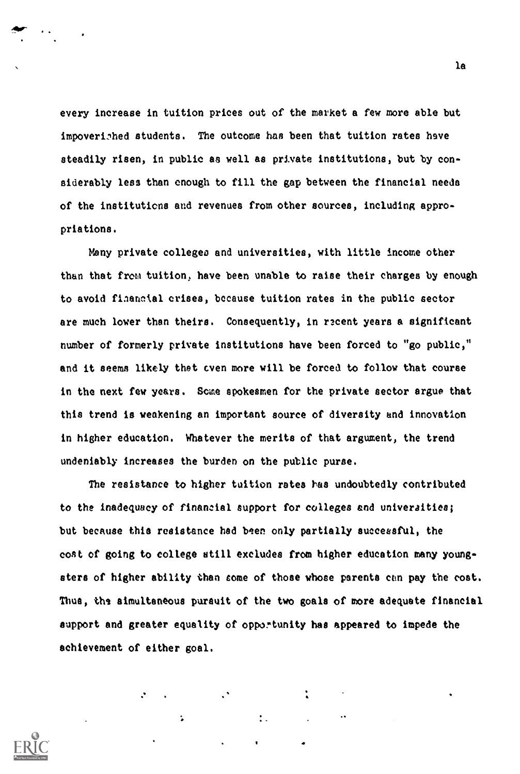every increase in tuition prices out of the market a few more able but impoverished students. The outcome has been that tuition rates have steadily risen, in public as well as private institutions, but by considerably less than enough to fill the gap between the financial needs of the institutions and revenues from other sources, including appropriations.

Many private colleges and universities, with little income other than that from tuition, have been unable to raise their charges by enough to avoid financial crises, because tuition rates in the public sector are much lower than theirs. Consequently, in recent years a significant number of formerly private institutions have been forced to "go public," and it seems likely that even more will be forced to follow that course in the next few years. Some spokesmen for the private sector argue that this trend is weakening an important source of diversity and innovation in higher education. Whatever the merits of that argument, the trend undeniably increases the burden on the public purse.

The resistance to higher tuition rates has undoubtedly contributed to the inadequacy of financial support for colleges and univeraities; but because this resistance had been only partially successful, the cost of going to college still excludes from higher education many youngsters of higher ability than some of those whose parents can pay the cost. Thus, the simultaneous pursuit of the two goals of more adequate financial support and greater equality of opportunity has appeared to impede the achievement of either goal.

 $\ddot{\phantom{a}}$ .

 $\ddot{\bullet}$ 

Is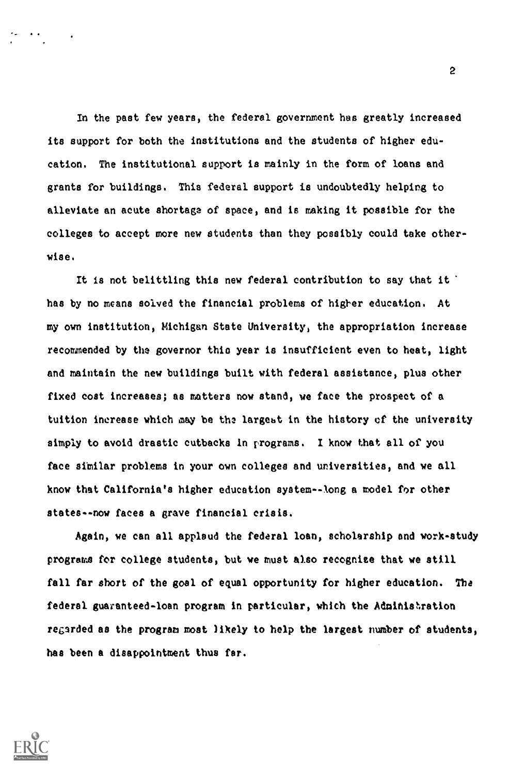In the past few years, the federal government has greatly increased its support for both the institutions and the students of higher education. The institutional support is mainly in the form of loans and grants for buildings. This federal support is undoubtedly helping to alleviate an acute shortage of space, and is making it possible for the colleges to accept more new students than they possibly could take otherwise.

It is not belittling this new federal contribution to say that it has by no means solved the financial problems of higher education. At my own institution, Michigan State University, the appropriation increase recommended by the governor this year is insufficient even to heat, light and maintain the new buildings built with federal assistance, plus other fixed cost increases; as matters now stand, we face the prospect of a tuition increase which may be the largest in the history of the university simply to avoid drastic cutbacks In programs. I know that all of you face similar problems in your own colleges and universities, and we all know that California's higher education system - -long a model for other states -- now faces a grave financial crisis.

Again, we can all applaud the federal loan, scholarship and work-study programs for college students, but we must also recognise that we still fall far short of the goal of equal opportunity for higher education. The federal guaranteed-loan program in particular, which the Admihishration regarded as the program most likely to help the largest number of students, has been a disappointment thus far.

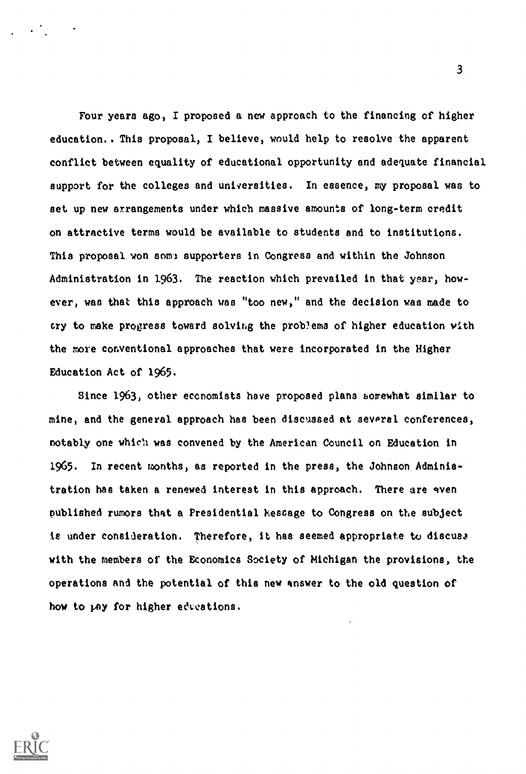Four years ago, I proposed a new approach to the financing of higher education.. This proposal, I believe, would help to resolve the apparent conflict between equality of educational opportunity and adequate financial support for the colleges and universities. In essence, my proposal was to set up new arrangements under which massive amounts of long-term credit on attractive terms would be available to students and to institutions. This proposal won some supporters in Congress and within the Johnson Administration in 1963. The reaction which prevailed in that year, however, was that this approach was "too new," and the decision was made to cry to make progress toward solving the problems of higher education with the more conventional approaches that were incorporated in the Higher Education Act of 1965.

Since 1963, other economists have proposed plans somewhat similar to mine, and the general approach has been discussed at several conferences, notably one which was convened by the American Council on Education in 1965. In recent months, as reported in the press, the Johnson Administration has taken a renewed interest in this approach. There are even published rumors that a Presidential kescage to Congress on the subject is under consideration. Therefore, it has seemed appropriate to discuss with the members of the Economics Society of Michigan the provisions, the operations and the potential of this new answer to the old question of how to pay for higher educations.

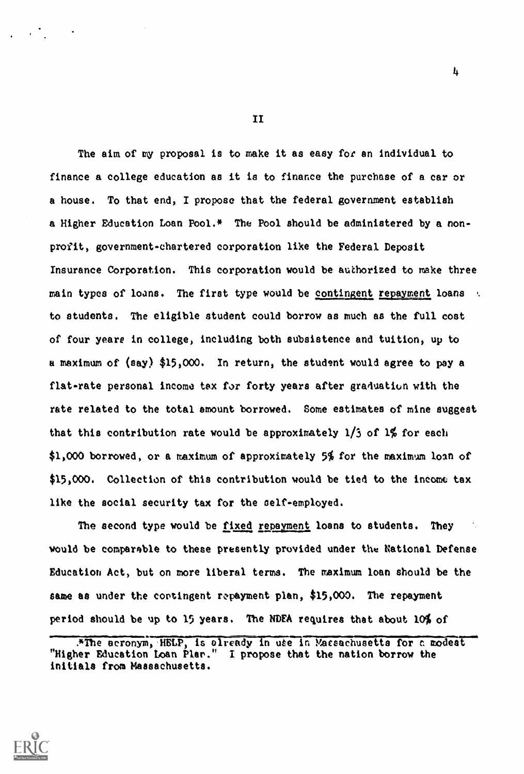The aim of my proposal is to make it as easy for an individual to finance a college education as it is to finance the purchase of a car or a house. To that end, I propose that the federal government establish a Higher Education Loan Pool.\* The Pool should be administered by a nonprofit, government-chartered corporation like the Federal Deposit Insurance Corporation. This corporation would be authorized to make three main types of loans. The first type would be contingent repayment loans to students. The eligible student could borrow as much as the full cost of four yeare in college, including both subsistence and tuition, up to a maximum of (say) \$15,000. In return, the student would agree to pay a flat-rate personal income tax for forty years after graduation with the rate related to the total amount borrowed. Some estimates of mine suggest that this contribution rate would be approximately  $1/3$  of  $1\%$  for each \$1,000 borrowed, or a maximum of approximately 5% for the maximum loan of \$15,000. Collection of this contribution would be tied to the income tax like the social security tax for the aelf-employed.

The second type would be fixed repayment loans to students. They would be comparable to these presently provided under the National Defense Education Act, but on more liberal terms. The maximum loan should be the same as under the contingent repayment plan, \$15,000. The repayment period should be up to 15 years. The NDEA requires that about 10% of



II

<sup>.\*</sup>The acronym, HELP, is already in use in Massachusetts for c modest "Higher Education Loan Plar." I propose that the nation borrow the initials from Massachusetts.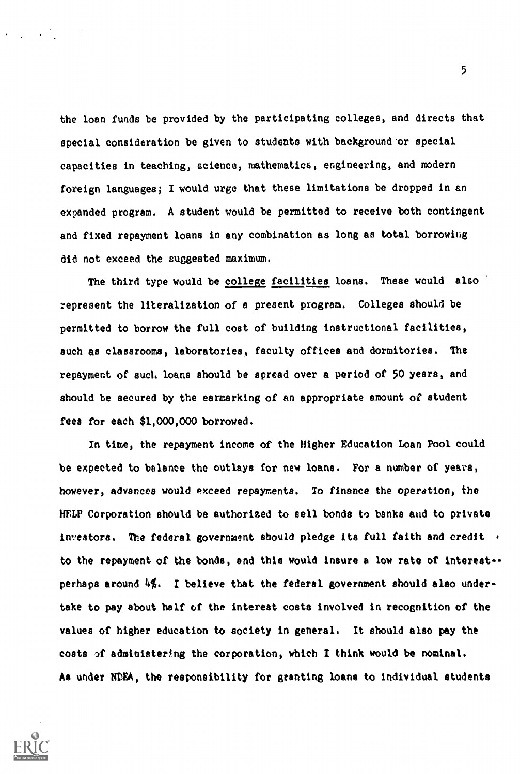the loan funds be provided by the participating colleges, and directs that special consideration be given to students with background or special capacities in teaching, science, mathematics, engineering, and modern foreign languages; I would urge that these limitations be dropped in an expanded program. A student would be permitted to receive both contingent and fixed repayment loans in any combination as long as total borrowing did not exceed the suggested maximum.

The third type would be college facilities loans. These would also represent the liberalization of a present program. Colleges should be permitted to borrow the full cost of building instructional facilities, such as classrooms, laboratories, faculty offices and dormitories. The repayment of such. loans should be spread over a period of 50 yesrs, and should be secured by the earmarking of an appropriate amount of student fees for each \$1,000,000 borrowed.

In time, the repayment income of the Higher Education Loan Pool could be expected to balance the outlays for new loans. For a number of years, however, advances would exceed repayments. To finance the operation, the HELP Corporation should be authorized to sell bonds to banks and to private investors. The federal government should pledge its full faith and credit  $\cdot$ to the repayment of the bonds, and this would insure a low rate of interest-perhaps around 4%. I believe that the federal government should also undertake to pay about half of the interest coats involved in recognition of the values of higher education to society in general. It should also pay the costs of administering the corporation, which I think would be nominal. As under NDEA, the responsibility for granting loans to individual students

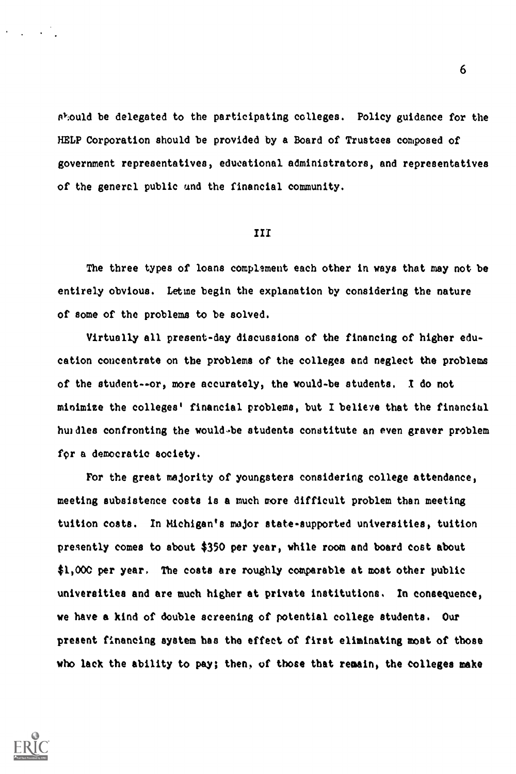&'.ould be delegated to the participating colleges. Policy guidance for the HELP Corporation should be provided by a Board of Trustees composed of government representatives, educational administrators, and representatives of the genercl public and the financial community.

## IIi

The three types of loans complement each other in ways that may not be entirely obvious. Letine begin the explanation by considering the nature of some of the problems to be solved.

Virtually all present-day discussions of the financing of higher education concentrate on the problems of the colleges and neglect the problems of the student - -or, more accurately, the would-be students. I do not minimize the colleges' financial problems, but I believe that the financial huldles confronting the would-be students constitute an even graver problem for a democratic society.

For the great majority of youngsters considering college attendance, meeting subsistence costs is a much more difficult problem than meeting tuition costs. In Michigan's major state-supported universities, tuition presently comes to about \$350 per year, while room and board cost about \$1,000 per year. The costs are roughly comparable at most other public universities and are much higher at private institutions. In consequence, we have a kind of double screening of potential college students. Our present financing system has the effect of first eliminating moat of those who lack the ability to pay; then, of those that remain, the colleges make

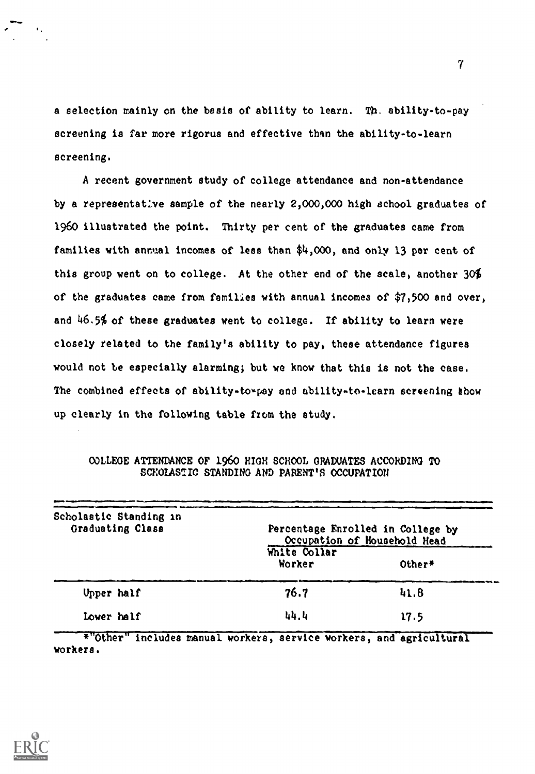a selection mainly on the basis of ability to learn. Tb. ability-to-pay screening is far more rigorus and effective than the ability-to-learn screening.

A recent government study of college attendance and non-attendance by a representat:ve sample of the nearly 2,000,000 high school graduates of 1960 illustrated the point. Thirty per cent of the graduates came from families with annual incomes of less than  $\frac{4}{3}$ ,000, and only 13 per cent of this group went on to college. At the other end of the scale, another 30% of the graduates came from families with annual incomes of \$7,500 and over, and 46.5% of these graduates went to college. If ability to learn were closely related to the family's ability to pay, these attendance figures would not be especially alarming; but we know that this is not the case. The combined effects of ability-to\*pay and ability-to-learn screening show up clearly in the following table from the study.

| Scholastic Standing in<br>Graduating Class | Percentage Enrolled in College by<br>Occupation of Household Head |          |
|--------------------------------------------|-------------------------------------------------------------------|----------|
|                                            | White Collar<br>Worker                                            | $Other*$ |
| Upper half                                 | 76.7                                                              | 41.8     |
| Lower half                                 | 44.4                                                              | 17.5     |

COLLEOE ATTENDANCE OF 1960 HIGH SCHOOL GRADUATES ACCORDING TO SCHOLASTIC STANDING AND PARENT'S OCCUPATION

\*"Other" includes manual workers, service workers, and agricultural workers.

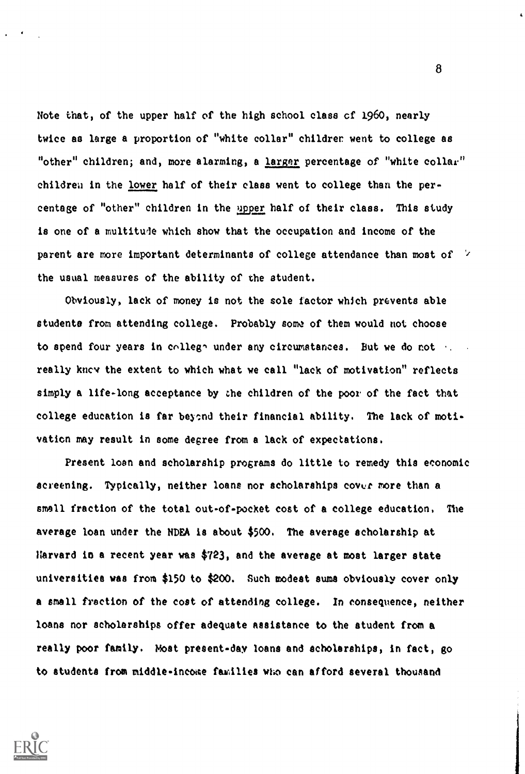Note that, of the upper half of the high school class cf 1960, nearly twice as large a proportion of "white collar" children went to college as "other" children; and, more alarming, a larger percentage of "white collar" children in the lower half of their class went to college than the percentage of "other" children in the upper half of their class. This study is one of a multitude which show that the occupation and income of the parent are more important determinants of college attendance than most of  $\vee$ the usual measures of the ability of the student.

Obviously, lack of money is not the sole factor which prevents able students from attending college. Probably some of them would not choose to spend four years in college under any circumstances. But we do not ... really knoy the extent to which what we call "lack of motivation" reflects simply a life-long acceptance by the children of the poor of the fact that college education is far beyond their financial ability. The lack of motivation may result in some degree from a lack of expectations.

Present loan and scholarship programs do little to remedy this economic screening. Typically, neither loans nor scholarships cover more than a small fraction of the total out-of-pocket cost of a college education. The average loan under the NDEA is about \$500. The average scholarship at Harvard in a recent year was \$723, and the average at most larger state universities was from \$150 to \$200. Such modest sums obviously cover only a small fraction of the cost of attending college. In consequence, neither loans nor scholarships offer adequate assistance to the student from a really poor family. Most present-day loans and scholarships, in fact, go to students from middle-income families who can afford several thousand

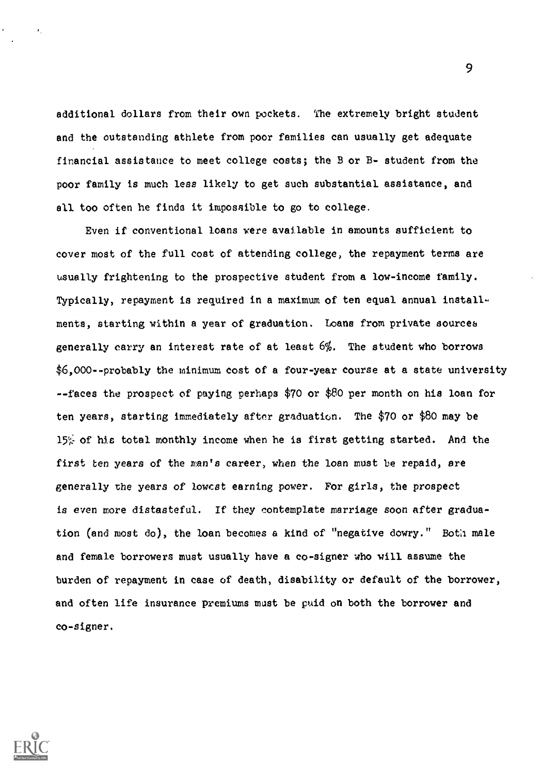additional dollars from their own pockets. The extremely bright student and the outstanding athlete from poor families can usually get adequate financial assistance to meet college costs; the B or B- student from the poor family is much less likely to get such substantial assistance, and all too often he finds it impossible to go to college.

Even if conventional loans were available in amounts sufficient to cover most of the full cost of attending college, the repayment terms are usually frightening to the prospective student from a low-income family. Typically, repayment is required in a maximum of ten equal annual installments, starting within a year of graduation. Loans from private sources generally carry an interest rate of at least 6%. The student who borrows \$6,000--probably the minimum cost of a four-year course at a state university --faces the prospect of paying perhaps \$70 or \$80 per month on his loan for ten years, starting immediately after graduation. The \$70 or \$80 may be  $15\%$  of his total monthly income when he is first getting started. And the first ten years of the man's career, when the loan must be repaid, are generally the years of lowest earning power. For girls, the prospect is even more distasteful. If they contemplate marriage soon after graduation (and most do), the loan becomes a kind of "negative dowry." Both male and female borrowers must usually have a co-signer who will assume the burden of repayment in case of death, disability or default of the borrower, and often life insurance premiums must be puid on both the borrower and co-signer.

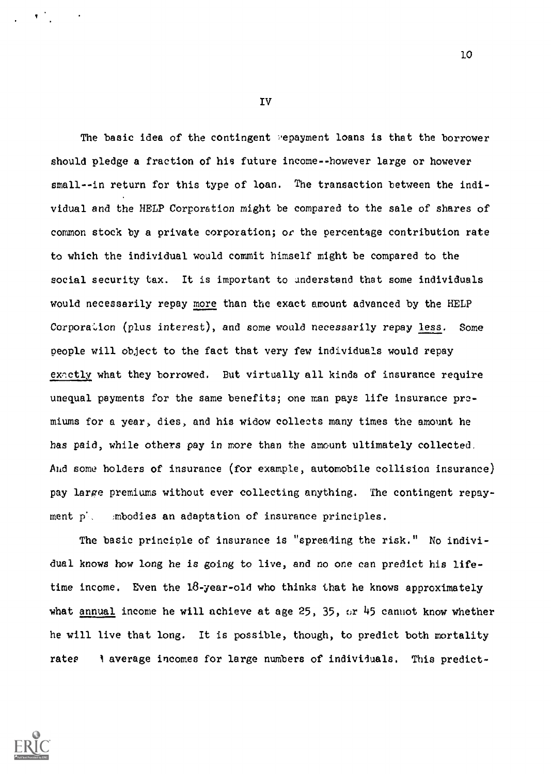The basic idea of the contingent repayment loans is that the borrower should pledge a fraction of his future income--however large or however small--in return for this type of loan. The transaction between the individual and the HELP Corporation might be compared to the sale of shares of common stock by a private corporation; or the percentage contribution rate to which the individual would commit himself might be compared to the social security tax. It is important to understand that some individuals would necessarily repay more than the exact amount advanced by the HELP Corporation (plus interest), and some would necessarily repay less. Some people will object to the fact that very few individuals would repay exrctly what they borrowed. But virtually all kinds of insurance require unequal payments for the same benefits; one man pays life insurance premiums for a year, dies, and his widow collects many times the amount he has paid, while others pay in more than the amount ultimately collected, Aid some holders of insurance (for example, automobile collision insurance) pay large premiums without ever collecting anything. The contingent repayment p'. mbodies an adaptation of insurance principles.

The basic principle of insurance is "spreading the risk." No individual knows how long he is going to live, and no one can predict his lifetime income. Even the 18-year-old who thinks that he knows approximately what annual income he will achieve at age 25, 35, or  $45$  cannot know whether he will live that long. It is possible, though, to predict both mortality rates I average incomes for large numbers of individuals. This predict-



Iv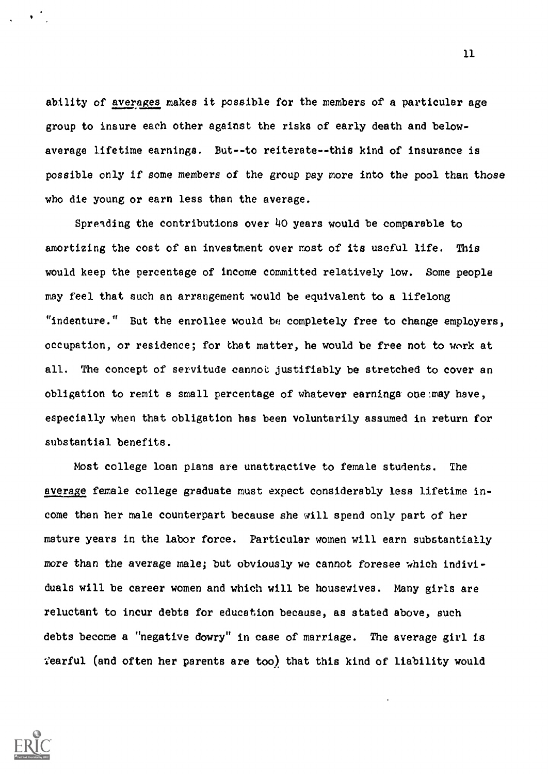ability of averages makes it possible for the members of a particular age group to insure each other against the risks of early death and belowaverage lifetime earnings. But--to reiterate--this kind of insurance is possible only if some members of the group pay more into the pool than those who die young or earn less than the average.

Spreeding the contributions over  $40$  years would be comparable to amortizing the cost of an investment over most of its useful life. This would keep the percentage of income committed relatively low. Some people may feel that such an arrangement would be equivalent to a lifelong "indenture." But the enrollee would be completely free to change employers, occupation, or residence; for that matter, he would be free not to work at all. The concept of servitude cannot justifiably be stretched to cover an obligation to remit a small percentage of whatever earnings one may have, especially when that obligation has been voluntarily assumed in return for substantial benefits.

Most college loan plans are unattractive to female students. The average female college graduate must expect considerably less lifetime income than her male counterpart because she will spend only part of her mature years in the labor force. Particular women will earn substantially more than the average male; but obviously we cannot foresee which individuals will be career women and which will be housewives. Many girls are reluctant to incur debts for education because, as stated above, such debts become a "negative dowry" in case of marriage. The average girl is Fearful (and often her parents are too) that this kind of liability would

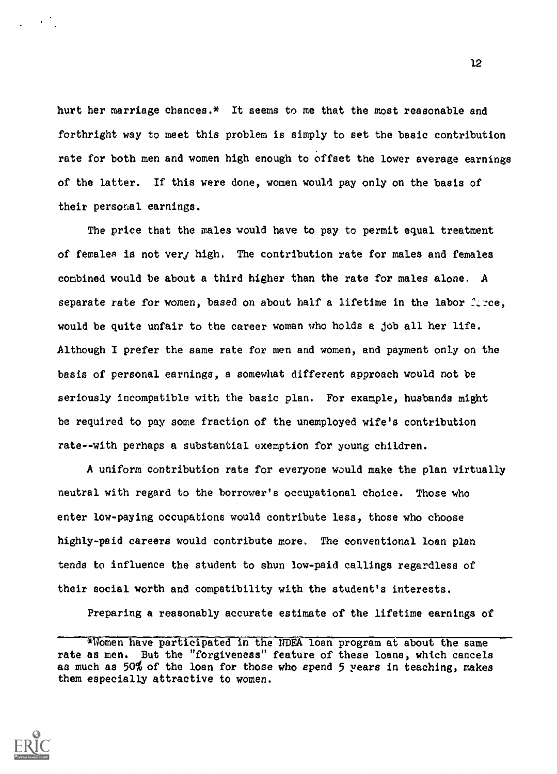hurt her marriage chances.\* It seems to me that the most reasonable and forthright way to meet this problem is simply to set the basic contribution rate for both men and women high enough to offset the lower average earnings of the latter. If this were done, women would pay only on the basis of their personal earnings.

The price that the males would have to pay to permit equal treatment of females is not ver, high. The contribution rate for males and females combined would be about a third higher than the rate for males alone. A separate rate for women, based on about half a lifetime in the labor furce. would be quite unfair to the career woman who holds a job all her life. Although I prefer the same rate for men and women, and payment only on the basis of personal earnings, a somewhat different approach would not be seriously incompatible with the basic plan. For example, husbands might be required to pay some fraction of the unemployed wife's contribution rate--with perhaps a substantial exemption for young children.

A uniform contribution rate for everyone would make the plan virtually neutral with regard to the borrower's occupational choice. Those who enter low-paying occupations would contribute less, those who choose highly-paid careers would contribute more. The conventional loan plan tends to influence the student to shun low-paid callings regardless of their social worth and compatibility with the student's interests.

Preparing a reasonably accurate estimate of the lifetime earnings of



1.2

<sup>\*</sup>Women have participated in the NDEA loan program at about the same rate as men. But the "forgiveness" feature of these loans, which cancels as much as 50% of the loan for those who spend 5 years in teaching, makes them especially attractive to women.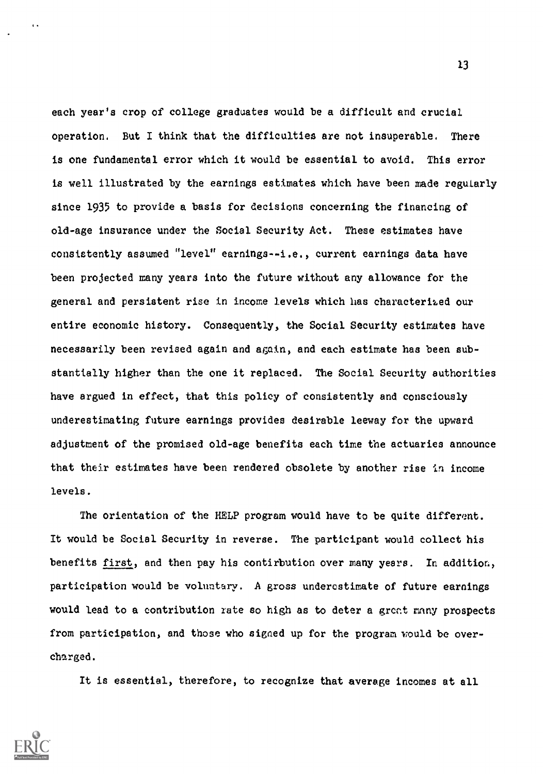each year's crop of college graduates would be a difficult and crucial operation. But I think that the difficulties are not insuperable. There is one fundamental error which it would be essential to avoid. This error is well illustrated by the earnings estimates which have been made regularly since 1935 to provide a basis for decisions concerning the financing of old-age insurance under the Social Security Act. These estimates have consistently assumed "level" earnings--i.e., current earnings data have been projected many years into the future without any allowance for the general and persistent rise in income levels which has characterized our entire economic history. Consequently, the Social Security estimates have necessarily been revised again and again, and each estimate has been substantially higher than the one it replaced. The Social Security authorities have argued in effect, that this policy of consistently and consciously underestimating future earnings provides desirable leeway for the upward adjustment of the promised old-age benefits each time the actuaries announce that their estimates have been rendered obsolete by another rise in income levels.

The orientation of the HELP program would have to be quite different. It would be Social Security in reverse. The participant would collect his benefits first, and then pay his contirbution over many years. In addition, participation would be voluntary. A gross underestimate of future earnings would lead to a contribution rate so high as to deter a grcrt many prospects from participation, and those who signed up for the program would be overcharged.

It is essential, therefore, to recognize that average incomes at all

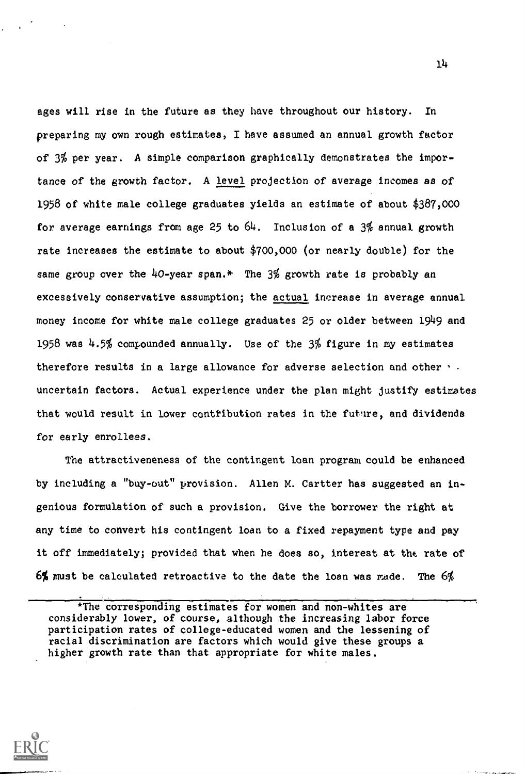ages will rise in the future as they have throughout our history. In preparing my own rough estimates, I have assumed an annual growth factor of 3% per year. A simple comparison graphically demonstrates the importance of the growth factor. A level projection of average incomes as of 1958 of white male college graduates yields an estimate of about \$387,000 for average earnings from age 25 to 64. Inclusion of a 3% annual growth rate increases the estimate to about \$700,000 (or nearly double) for the same group over the  $40$ -year span.\* The  $3\frac{g}{g}$  growth rate is probably an excessively conservative assumption; the actual increase in average annual money income for white male college graduates 25 or older between 1949 and 1958 was 4.5% compounded annually. Use of the 3% figure in my estimates therefore results in a large allowance for adverse selection and other  $\cdot$ . uncertain factors. Actual experience under the plan might justify estimates that would result in lower contribution rates in the future, and dividends for early enrollees.

The attractiveneness of the contingent loan program could be enhanced by including a "buy-out" provision. Allen M. Cartter has suggested an ingenious formulation of such a provision. Give the borrower the right at any time to convert his contingent loan to a fixed repayment type and pay it off immediately; provided that when he does so, interest at the rate of  $6%$  must be calculated retroactive to the date the loan was made. The  $6%$ 

\*The corresponding estimates for women and non-whites are considerably lower, of course, although the increasing labor force participation rates of college-educated women and the lessening of racial discrimination are factors which would give these groups a higher growth rate than that appropriate for white males.

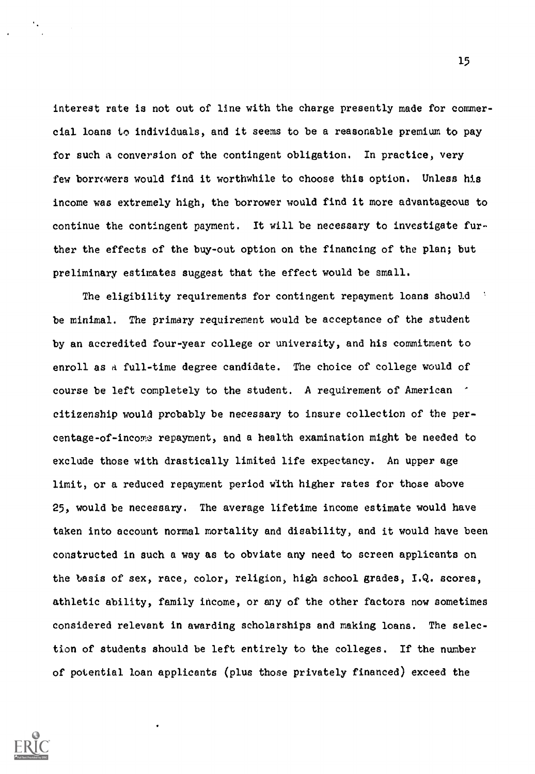interest rate is not out of line with the charge presently made for commercial loans to individuals, and it seems to be a reasonable premium to pay for such a conversion of the contingent obligation. In practice, very few borrowers would find it worthwhile to choose this option. Unless his income was extremely high, the borrower would find it more advantageous to continue the contingent payment. It will be necessary to investigate further the effects of the buy-out option on the financing of the plan; but preliminary estimates suggest that the effect would be small.

The eligibility requirements for contingent repayment loans should be minimal. The primary requirement would be acceptance of the student by an accredited four-year college or university, and his commitment to enroll as a full-time degree candidate. The choice of college would of course be left completely to the student. A requirement of American citizenship would probably be necessary to insure collection of the percentage-of-income repayment, and a health examination might be needed to exclude those with drastically limited life expectancy. An upper age limit, or a reduced repayment period with higher rates for those above 25, would be necessary. The average lifetime income estimate would have taken into account normal mortality and disability, and it would have been constructed in such a way as to obviate any need to screen applicants on the basis of sex, race, color, religion, high school grades, I.Q. scores, athletic ability, family income, or any of the other factors now sometimes considered relevant in awarding scholarships and making loans. The selection of students should be left entirely to the colleges. If the number of potential loan applicants (plus those privately financed) exceed the

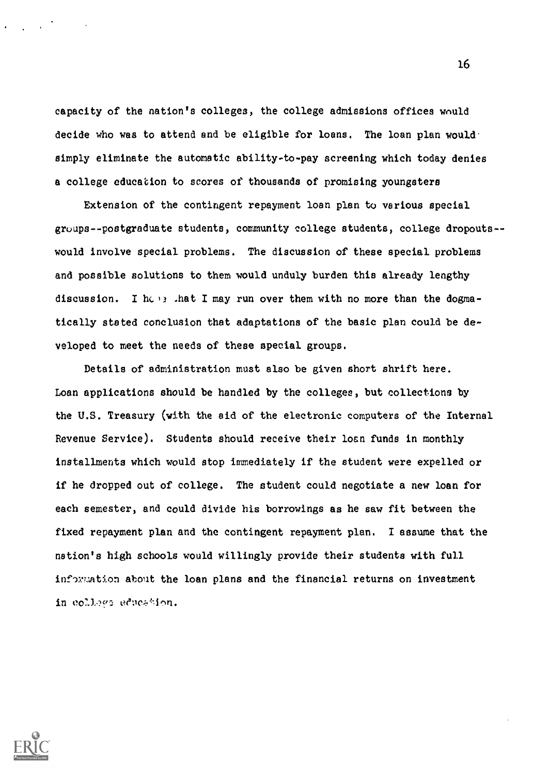capacity of the nation's colleges, the college admissions offices would decide who was to attend and be eligible for loans. The loan plan would simply eliminate the automatic ability-to-pay screening which today denies a college education to scores of thousands of promising youngsters

Extension of the contingent repayment loan plan to various special groups--postgraduate students, community college students, college dropouts- would involve special problems. The discussion of these special problems and possible solutions to them would unduly burden this already lengthy discussion. I hence that I may run over them with no more than the dogmatically stated conclusion that adaptations of the basic plan could be developed to meet the needs of these special groups.

Details of administration must also be given short shrift here. Loan applications should be handled by the colleges, but collections by the U.S. Treasury (with the aid of the electronic computers of the Internal Revenue Service). Students should receive their loan funds in monthly installments which would stop immediately if the student were expelled or if he dropped out of college. The student could negotiate a new loan for each semester, and could divide his borrowings as he saw fit between the fixed repayment plan and the contingent repayment plan. I assume that the nation's high schools would willingly provide their students with full infation about the loan plans and the financial returns on investment in college education.

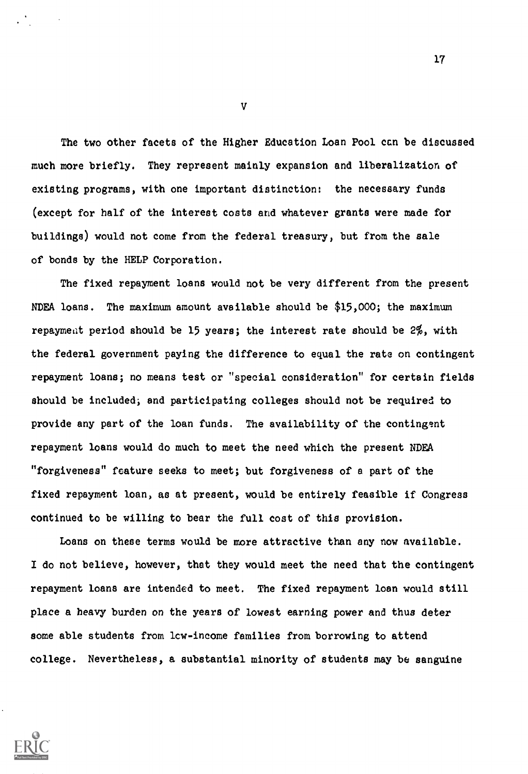The two other facets of the Higher Education Loan Pool ccn be discussed much more briefly. They represent mainly expansion and liberalization of existing programs, with one important distinction: the necessary funds (except for half of the interest costs and whatever grants were made for buildings) would not come from the federal treasury, but from the sale of bonds by the HELP Corporation.

V

The fixed repayment loans would not be very different from the present NDEA loans. The maximum amount available should be \$15,000; the maximum repayment period should be 15 years; the interest rate should be 2%, with the federal government paying the difference to equal the rate on contingent repayment loans; no means test or "special consideration" for certain fields should be included; and participating colleges should not be required to provide any part of the loan funds. The availability of the contingent repayment loans would do much to meet the need which the present NDEA "forgiveness" feature seeks to meet; but forgiveness of a part of the fixed repayment loan, as at present, would be entirely feasible if Congress continued to be willing to bear the full cost of this provision.

Loans on these terms would be more attractive than any now available. I do not believe, however, that they would meet the need that the contingent repayment loans are intended to meet. The fixed repayment loan would still place a heavy burden on the years of lowest earning power and thus deter some able students from low-income families from borrowing to attend college. Nevertheless, a substantial minority of students may be sanguine

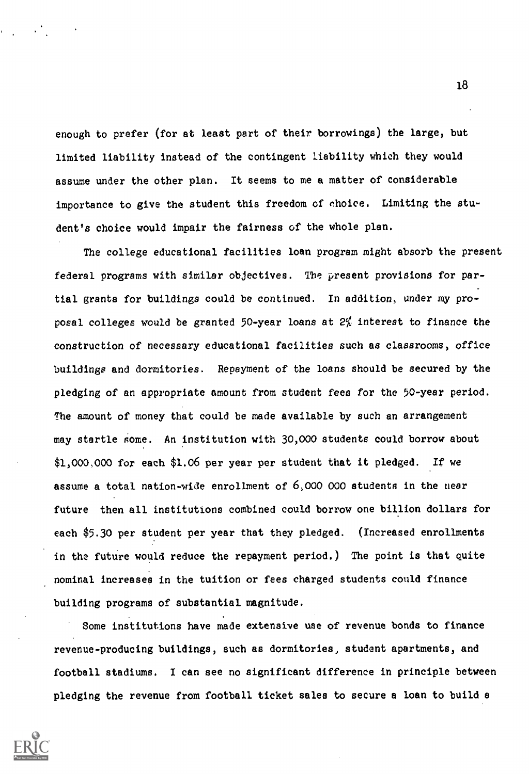enough to prefer (for at least part of their borrowings) the large, but limited liability instead of the contingent liability which they would assume under the other plan. It seems to me a matter of considerable importance to give the student this freedom of choice. Limiting the student's choice would impair the fairness of the whole plan.

The college educational facilities loan program might absorb the present federal programs with similar objectives. The present provisions for partial grants for buildings could be continued. In addition, under my proposal colleges would be granted 50-year loans at 2% interest to finance the construction of necessary educational facilities such as classrooms, office buildings and dormitories. Repayment of the loans should be secured by the pledging of an appropriate amount from student fees for the 50-year period. The amount of money that could be made available by such an arrangement may startle some. An institution with 30,000 students could borrow about \$1,000.,000 for each \$1.06 per year per student that it pledged. If we assume a total nation-wide enrollment of  $6,000$  000 students in the near future then all institutions combined could borrow one billion dollars for each \$5.30 per student per year that they pledged. (Increased enrollments in the future would reduce the repayment period.) The point is that quite nominal increases in the tuition or fees charged students could finance building programs of substantial magnitude.

Some institutions have made extensive use of revenue bonds to finance revenue-producing buildings, such as dormitories, student apartments, and football stadiums. I can see no significant difference in principle between pledging the revenue from football ticket sales to secure a loan to build a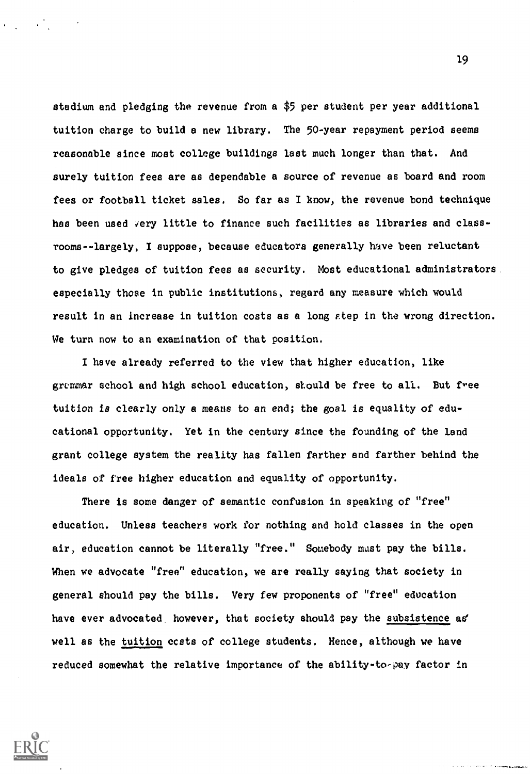stadium and pledging the revenue from a \$5 per student per year additional tuition charge to build a new library. The 50-year repayment period seems reasonable since most college buildings last much longer than that. And surely tuition fees are as dependable a source of revenue as board and room fees or football ticket sales. So far as I know, the revenue bond technique has been used very little to finance such facilities as libraries and classrooms--largely, I suppose, because educators generally have been reluctant to give pledges of tuition fees as security. Most educational administrators especially those in public institutions, regard any measure which would result in an increase in tuition costs as a long atep in the wrong direction. We turn now to an examination of that position.

I have already referred to the view that higher education, like grammar school and high school education, should be free to all. But free tuition is clearly only a means to an end; the goal is equality of educational opportunity. Yet in the century since the founding of the land grant college system the reality has fallen farther and farther behind the ideals of free higher education and equality of opportunity.

There is some danger of semantic confusion in speaking of "free" education. Unless teachers work for nothing and hold classes in the open air, education cannot be literally "free." Somebody must pay the bills. When we advocate "free" education, we are really saying that society in general should pay the bills. Very few proponents of "free" education have ever advocated, however, that society should pay the subsistence as' well as the tuition costs of college students. Hence, although we have reduced somewhat the relative importance of the ability-to-pay factor in

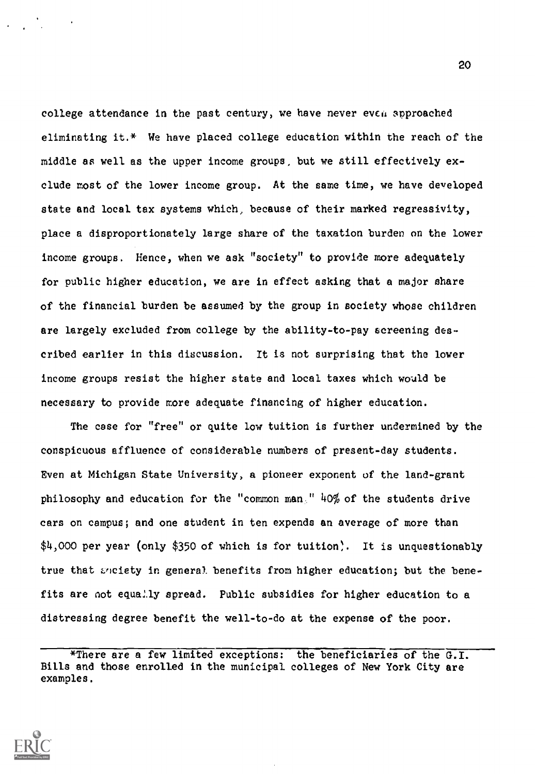college attendance in the past century, we have never even spproached eliminating it.\* We have placed college education within the reach of the middle as well as the upper income groups, but we still effectively exclude most of the lower income group. At the same time, we have developed state and local tax systems which, because of their marked regressivity, place a disproportionately large share of the taxation burden on the lower income groups. Hence, when we ask "society" to provide more adequately for public higher education, we are in effect asking that a major share of the financial burden be assumed by the group in society whose children are largely excluded from college by the ability-to-pay screening described earlier in this discussion. It is not surprising that the lower income groups resist the higher state and local taxes which would be necessary to provide more adequate financing of higher education.

The case for "free" or quite low tuition is further undermined by the conspicuous affluence of considerable numbers of present-day students. Even at Michigan State University, a pioneer exponent of the land-grant philosophy and education for the "common man " 40% of the students drive cars on campus; and one student in ten expends an average of more than  $$4,000$  per year (only \$350 of which is for tuition). It is unquestionably true that viciety in general benefits from higher education; but the benefits are not equally spread. Public subsidies for higher education to a distressing degree benefit the well-to-do at the expense of the poor.



<sup>\*</sup>There are a few limited exceptions: the beneficiaries of the  $\overline{G.1}$ . Bills and those enrolled in the municipal colleges of New York City are examples.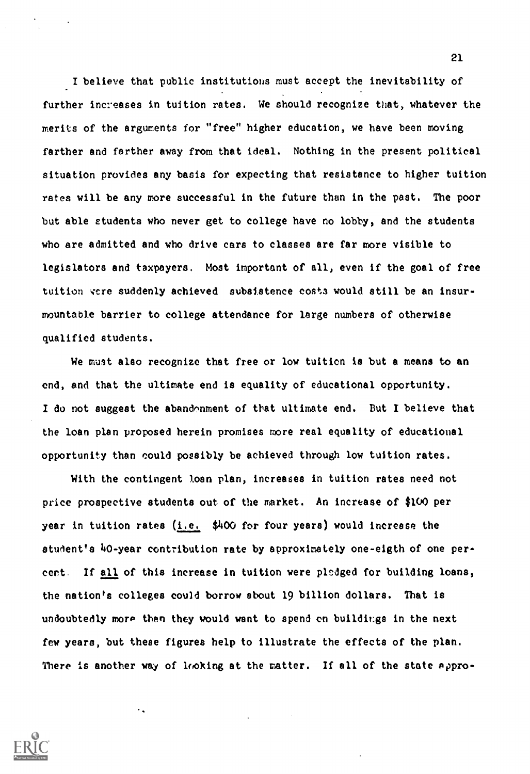I believe that public institutions must accept the inevitability of further increases in tuition rates. We should recognize that, whatever the merits of the arguments for "free" higher education, we have been moving farther and farther away from that ideal. Nothing in the present political situation provides any basis for expecting that resistance to higher tuition rates will be any more successful in the future than in the past. The poor but able students who never get to college have no lobby, and the students who are admitted and who drive cars to classes are far more visible to legislators and taxpayers. Most important of all, even if the goal of free tuition vere suddenly achieved subsistence costs would still be an insurmountable barrier to college attendance for large numbers of otherwise qualified students.

We must also recognize that free or low tuition is but a means to an end, and that the ultimate end is equality of educational opportunity. I do not suggest the abandonment of that ultimate end. But I believe that the loan plan proposed herein promises more real equality of educational opportunity than could possibly be achieved through low tuition rates.

With the contingent loan plan, increases in tuition rates need not price prospective students out of the market. An increase of \$100 per year in tuition rates (i.e. \$400 for four years) would increase the student's 40-year contribution rate by approximately one-eigth of one percent. If all of this increase in tuition were pledged for building loans, the nation's colleges could borrow about 19 billion dollars. That is undoubtedly more than they would want to spend on buildings in the next few years, but these figures help to illustrate the effects of the plan. There is another way of looking at the matter. If all of the state appro-



 $\ddot{\phantom{a}}$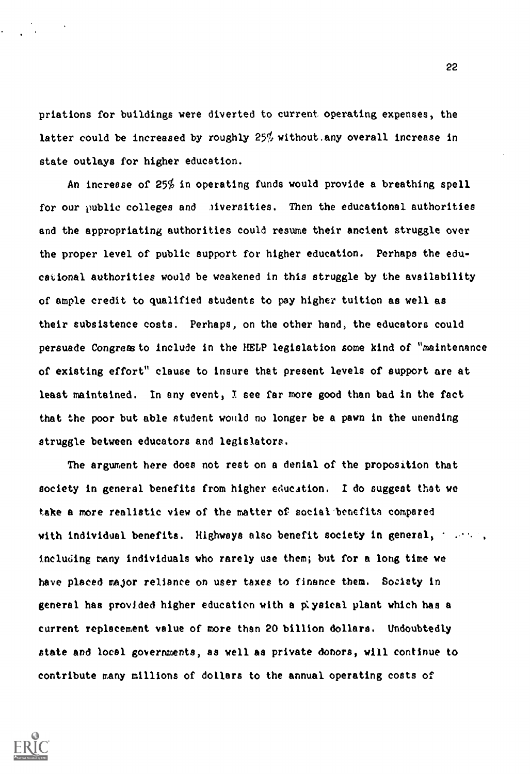priations for buildings were diverted to current, operating expenses, the latter could be increased by roughly  $25\%$  without any overall increase in state outlays for higher education.

An increase of 25% in operating funds would provide a breathing spell for our public colleges and siversities. Then the educational authorities and the appropriating authorities could resume their ancient struggle over the proper level of public support for higher education. Perhaps the educational authorities would be weakened in this struggle by the availability of ample credit to qualified students to pay higher tuition as well as their subsistence costs. Perhaps, on the other hand, the educators could persuade Congress to include in the HELP legislation some kind of "maintenance of existing effort" clause to insure that present levels of support are at least maintained. In any event, X see far more good than bad in the fact that the poor but able student would no longer be a pawn in the unending struggle between educators and legislators.

The argument here does not rest on a denial of the proposition that society in general benefits from higher education. I do suggest that we take a more realistic view of the matter of social benefits compared with individual benefits. Highways also benefit society in general, which, including many individuals who rarely use them; but for a long time we have placed major reliance on user taxes to finance them. Society in general has provided higher education with a plysical plant which has a current replacement value of more than 20 billion dollars. Undoubtedly state and local governments, as well as private donors, will continue to contribute many millions of dollars to the annual operating costs of

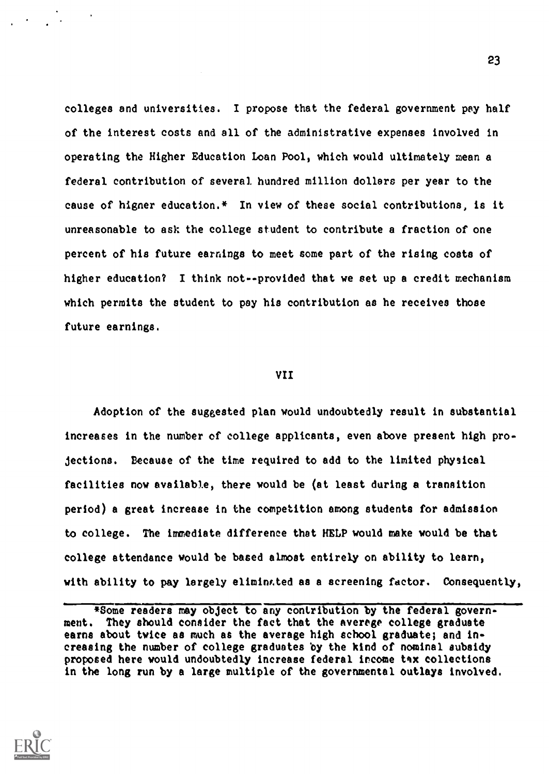colleges and universities. I propose that the federal government pay half of the interest costs and all of the administrative expenses involved in operating the Higher Education Loan Pool, which would ultimately mean a federal contribution of several hundred million dollars per year to the cause of higner education.\* In view of these social contributions, is it unreasonable to ask the college student to contribute a fraction of one percent of his future earnings to meet some part of the rising costs of higher education? I think not--provided that we set up a credit mechanism which permits the student to pay his contribution as he receives those future earnings.

## VII

Adoption of the suggested plan would undoubtedly result in substantial increases in the number of college applicants, even above present high projections. Because of the time required to add to the limited physical facilities now available, there would be (at least during a transition period) a great increase in the competition among students for admission to college. The immediate difference that HELP would make would be that college attendance would be based almost entirely on ability to learn, with ability to pay largely eliminr.ted as a screening factor. Consequently,



<sup>\*</sup>Some readers may object to any contribution by the federal government. They should consider the fact that the average college graduate earns about twice as much as the average high school graduate; and increasing the number of college graduates by the kind of nominal subsidy proposed here would undoubtedly increase federal income tax collections in the long run by a large multiple of the governmental outlays involved.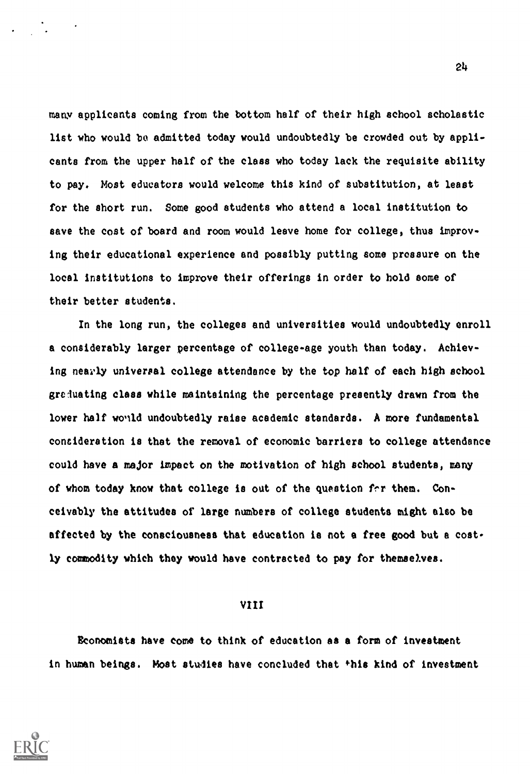many applicants coming from the bottom half of their high school scholastic list who would be admitted today would undoubtedly be crowded out by applicants from the upper half of the class who today lack the requisite ability to pay. Most educators would welcome this kind of substitution, at least for the short run. Some good students who attend a local institution to save the cost of board and room would leave home for college, thus improving their educational experience and possibly putting some pressure on the local institutions to improve their offerings in order to hold some of their better students.

In the long run, the colleges and universities would undoubtedly enroll a considerably larger percentage of college-age youth than today. Achieving nearly universal college attendance by the top half of each high school greluating class while maintaining the percentage presently drawn from the lower half would undoubtedly raise academic standards. A more fundamental consideration is that the removal of economic barriers to college attendance could have a major impact on the motivation of high school students, many of whom today know that college is out of the question frr them. Conceivably the attitudes of large numbers of college students might also be affected by the consciousness that education is not a free good but a costly commodity which they would have contracted to pay for themselves.

## VIII

Economists have come to think of education as a form of investment in human beings. Most studies have concluded that 'his kind of investment



 $2<sub>h</sub>$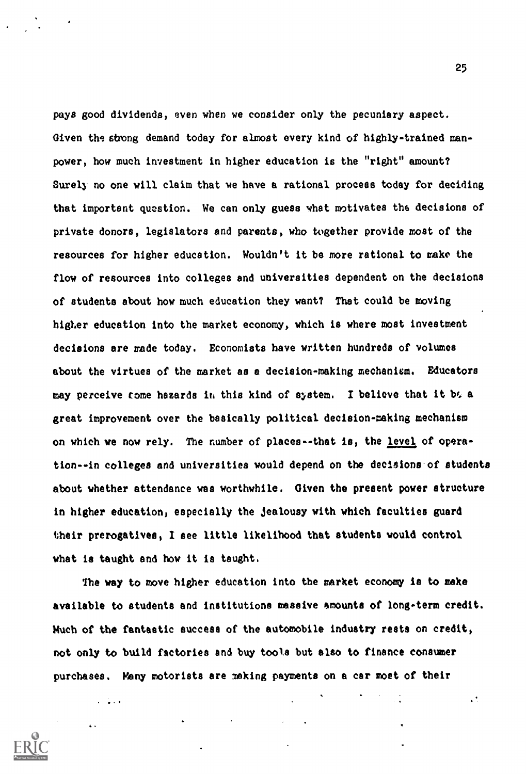pays good dividends, even when we consider only the pecuniary aspect. Given the strong demand today for almost every kind of highly-trained manpower, how much investment in higher education is the "right" amount? Surely no one will claim that we have a rational process today for deciding that important question. We can only guess what motivates the decisions of private donors, legislators and parents, who together provide most of the resources for higher education. Wouldn't it be more rational to make the flow of resources into colleges and universities dependent on the decisions of students about how much education they want? That could be moving higher education into the market economy, which is where most investment decisions are made today. Economists have written hundreds of volumes about the virtues of the market as a decision-making mechanism. Educators may perceive come hazards in this kind of system. I believe that it be a great improvement over the basically political decision-making mechanism on which we now rely. The number of places--that is, the level of operation--in colleges and universities would depend on the decisions of students about whether attendance was worthwhile. Given the present power structure in higher education, especially the jealousy with which faculties guard their prerogatives, I see little likelihood that students would control what is taught and how it is taught.

The way to move higher education into the market economy is to make available to students and institutions massive amounts of long-term credit. Much of the fantastic success of the automobile industry rests on credit, not only to build factories and buy tools but also to finance consumer purchases. Many motorists are making payments on a car moet of their

 $\sim$   $\sim$ 

25

 $\mathbf{A}$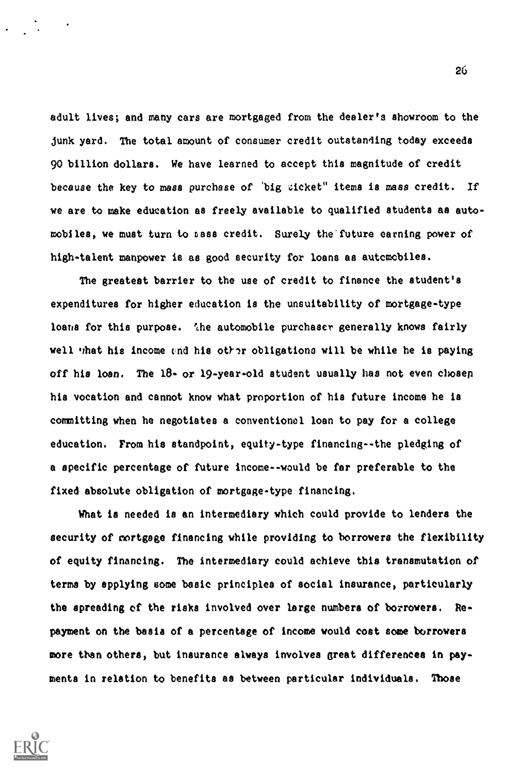adult lives; and many cars are mortgaged from the dealer's showroom to the junk yard. The total amount of consumer credit outstanding today exceeds 90 billion dollars. We have learned to accept this magnitude of credit because the key to mass purchase of 'big ticket" items is mass credit. If we are to make education as freely available to qualified students as automobiles, we must turn to pass credit. Surely the'future earning power of high-talent manpower is as good security for loans as automobiles.

The greatest barrier to the use of credit to finance the student's expenditures for higher education is the unsuitability of mortgage-type loans for this purpose. The automobile purchaser generally knows fairly well 'that his income and his other obligations will be while he is paying off his loan. The 18- or 19-year-old student usually has not even chosen his vocation and cannot know what proportion of his future income he is committing when he negotiates a conventional loan to pay for a college education. From his standpoint, equity-type financing--the pledging of a specific percentage of future income--would be far preferable to the fixed absolute obligation of mortgage-type financing.

What is needed is an intermediary which could provide to lenders the security of mortgage financing while providing to borrowers the flexibility of equity financing. The intermediary could achieve this transmutation of terms by applying some basic principles of social insurance, particularly the spreading of the risks involved over large numbers of borrowers. Repayment on the basis of a percentage of income would cost some borrowers more then others, but insurance always involves great differences in payments in relation to benefits as between particular individuals. Those